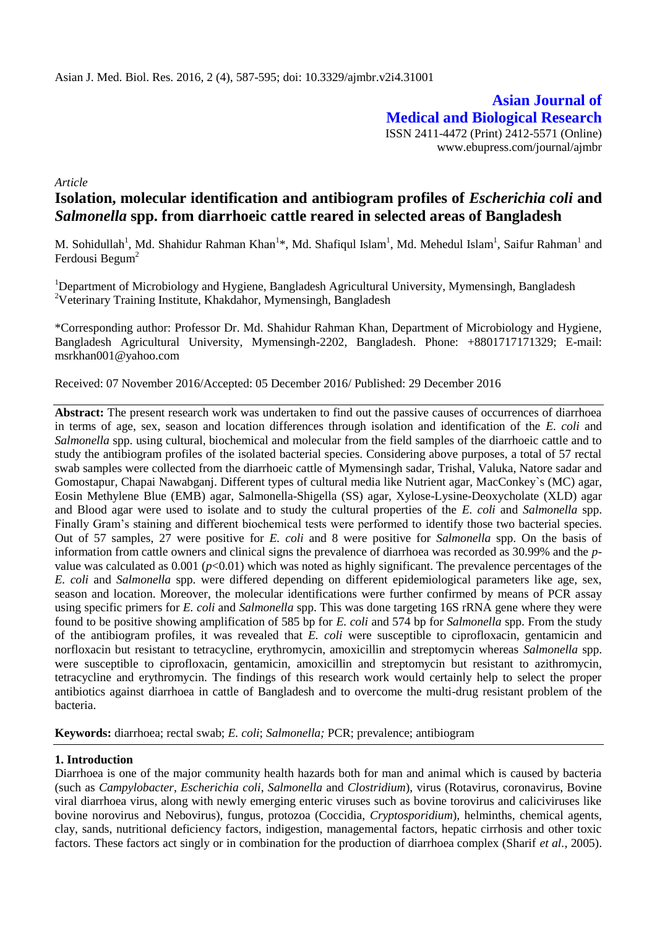**Asian Journal of Medical and Biological Research** ISSN 2411-4472 (Print) 2412-5571 (Online) www.ebupress.com/journal/ajmbr

*Article*

# **Isolation, molecular identification and antibiogram profiles of** *Escherichia coli* **and**  *Salmonella* **spp. from diarrhoeic cattle reared in selected areas of Bangladesh**

M. Sohidullah<sup>1</sup>, Md. Shahidur Rahman Khan<sup>1</sup>\*, Md. Shafiqul Islam<sup>1</sup>, Md. Mehedul Islam<sup>1</sup>, Saifur Rahman<sup>1</sup> and Ferdousi Begum $2$ 

<sup>1</sup>Department of Microbiology and Hygiene, Bangladesh Agricultural University, Mymensingh, Bangladesh <sup>2</sup>Veterinary Training Institute, Khakdahor, Mymensingh, Bangladesh

\*Corresponding author: Professor Dr. Md. Shahidur Rahman Khan, Department of Microbiology and Hygiene, Bangladesh Agricultural University, Mymensingh-2202, Bangladesh. Phone: +8801717171329; E-mail: msrkhan001@yahoo.com

Received: 07 November 2016/Accepted: 05 December 2016/ Published: 29 December 2016

**Abstract:** The present research work was undertaken to find out the passive causes of occurrences of diarrhoea in terms of age, sex, season and location differences through isolation and identification of the *E. coli* and *Salmonella* spp. using cultural, biochemical and molecular from the field samples of the diarrhoeic cattle and to study the antibiogram profiles of the isolated bacterial species. Considering above purposes, a total of 57 rectal swab samples were collected from the diarrhoeic cattle of Mymensingh sadar, Trishal, Valuka, Natore sadar and Gomostapur, Chapai Nawabganj. Different types of cultural media like Nutrient agar, MacConkey`s (MC) agar, Eosin Methylene Blue (EMB) agar, Salmonella-Shigella (SS) agar, Xylose-Lysine-Deoxycholate (XLD) agar and Blood agar were used to isolate and to study the cultural properties of the *E. coli* and *Salmonella* spp. Finally Gram's staining and different biochemical tests were performed to identify those two bacterial species. Out of 57 samples, 27 were positive for *E. coli* and 8 were positive for *Salmonella* spp. On the basis of information from cattle owners and clinical signs the prevalence of diarrhoea was recorded as 30.99% and the *p*value was calculated as  $0.001$  ( $p<0.01$ ) which was noted as highly significant. The prevalence percentages of the *E. coli* and *Salmonella* spp. were differed depending on different epidemiological parameters like age, sex, season and location. Moreover, the molecular identifications were further confirmed by means of PCR assay using specific primers for *E. coli* and *Salmonella* spp. This was done targeting 16S rRNA gene where they were found to be positive showing amplification of 585 bp for *E. coli* and 574 bp for *Salmonella* spp. From the study of the antibiogram profiles, it was revealed that *E. coli* were susceptible to ciprofloxacin, gentamicin and norfloxacin but resistant to tetracycline, erythromycin, amoxicillin and streptomycin whereas *Salmonella* spp. were susceptible to ciprofloxacin, gentamicin, amoxicillin and streptomycin but resistant to azithromycin, tetracycline and erythromycin. The findings of this research work would certainly help to select the proper antibiotics against diarrhoea in cattle of Bangladesh and to overcome the multi-drug resistant problem of the bacteria.

**Keywords:** diarrhoea; rectal swab; *E. coli*; *Salmonella;* PCR; prevalence; antibiogram

## **1. Introduction**

Diarrhoea is one of the major community health hazards both for man and animal which is caused by bacteria (such as *Campylobacter*, *Escherichia coli*, *Salmonella* and *Clostridium*), virus (Rotavirus, coronavirus, Bovine viral diarrhoea virus, along with newly emerging enteric viruses such as bovine torovirus and caliciviruses like bovine norovirus and Nebovirus), fungus, protozoa (Coccidia, *Cryptosporidium*), helminths, chemical agents, clay, sands, nutritional deficiency factors, indigestion, managemental factors, hepatic cirrhosis and other toxic factors. These factors act singly or in combination for the production of diarrhoea complex (Sharif *et al.,* 2005).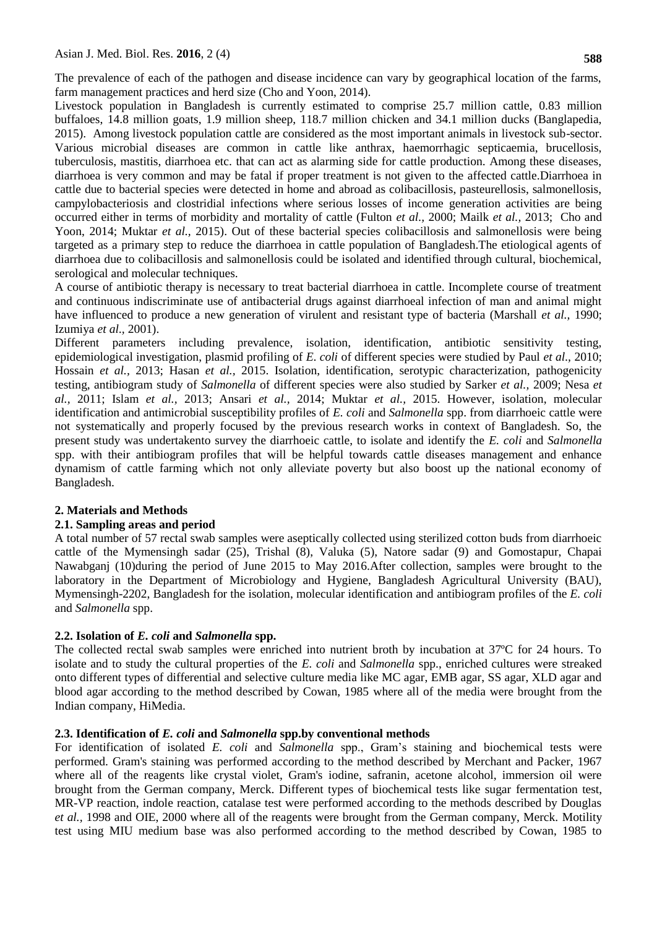The prevalence of each of the pathogen and disease incidence can vary by geographical location of the farms, farm management practices and herd size (Cho and Yoon, 2014).

Livestock population in Bangladesh is currently estimated to comprise 25.7 million cattle, 0.83 million buffaloes, 14.8 million goats, 1.9 million sheep, 118.7 million chicken and 34.1 million ducks (Banglapedia, 2015). Among livestock population cattle are considered as the most important animals in livestock sub-sector. Various microbial diseases are common in cattle like anthrax, haemorrhagic septicaemia, brucellosis, tuberculosis, mastitis, diarrhoea etc. that can act as alarming side for cattle production. Among these diseases, diarrhoea is very common and may be fatal if proper treatment is not given to the affected cattle.Diarrhoea in cattle due to bacterial species were detected in home and abroad as colibacillosis, pasteurellosis, salmonellosis, campylobacteriosis and clostridial infections where serious losses of income generation activities are being occurred either in terms of morbidity and mortality of cattle (Fulton *et al.,* 2000; Mailk *et al.,* 2013; Cho and Yoon, 2014; Muktar *et al.,* 2015). Out of these bacterial species colibacillosis and salmonellosis were being targeted as a primary step to reduce the diarrhoea in cattle population of Bangladesh.The etiological agents of diarrhoea due to colibacillosis and salmonellosis could be isolated and identified through cultural, biochemical, serological and molecular techniques.

A course of antibiotic therapy is necessary to treat bacterial diarrhoea in cattle. Incomplete course of treatment and continuous indiscriminate use of antibacterial drugs against diarrhoeal infection of man and animal might have influenced to produce a new generation of virulent and resistant type of bacteria (Marshall *et al.,* 1990; Izumiya *et al.,* 2001).

Different parameters including prevalence, isolation, identification, antibiotic sensitivity testing, epidemiological investigation, plasmid profiling of *E. coli* of different species were studied by Paul *et al.,* 2010; Hossain *et al.,* 2013; Hasan *et al.,* 2015. Isolation, identification, serotypic characterization, pathogenicity testing, antibiogram study of *Salmonella* of different species were also studied by Sarker *et al.,* 2009; Nesa *et al.,* 2011; Islam *et al.,* 2013; Ansari *et al.,* 2014; Muktar *et al.,* 2015. However, isolation, molecular identification and antimicrobial susceptibility profiles of *E. coli* and *Salmonella* spp. from diarrhoeic cattle were not systematically and properly focused by the previous research works in context of Bangladesh. So, the present study was undertakento survey the diarrhoeic cattle, to isolate and identify the *E. coli* and *Salmonella* spp. with their antibiogram profiles that will be helpful towards cattle diseases management and enhance dynamism of cattle farming which not only alleviate poverty but also boost up the national economy of Bangladesh.

## **2. Materials and Methods**

## **2.1. Sampling areas and period**

A total number of 57 rectal swab samples were aseptically collected using sterilized cotton buds from diarrhoeic cattle of the Mymensingh sadar (25), Trishal (8), Valuka (5), Natore sadar (9) and Gomostapur, Chapai Nawabganj (10)during the period of June 2015 to May 2016.After collection, samples were brought to the laboratory in the Department of Microbiology and Hygiene, Bangladesh Agricultural University (BAU), Mymensingh-2202, Bangladesh for the isolation, molecular identification and antibiogram profiles of the *E. coli* and *Salmonella* spp.

# **2.2. Isolation of** *E. coli* **and** *Salmonella* **spp.**

The collected rectal swab samples were enriched into nutrient broth by incubation at 37ºC for 24 hours. To isolate and to study the cultural properties of the *E. coli* and *Salmonella* spp., enriched cultures were streaked onto different types of differential and selective culture media like MC agar, EMB agar, SS agar, XLD agar and blood agar according to the method described by Cowan, 1985 where all of the media were brought from the Indian company, HiMedia.

## **2.3. Identification of** *E. coli* **and** *Salmonella* **spp.by conventional methods**

For identification of isolated *E. coli* and *Salmonella* spp., Gram's staining and biochemical tests were performed. Gram's staining was performed according to the method described by Merchant and Packer, 1967 where all of the reagents like crystal violet, Gram's iodine, safranin, acetone alcohol, immersion oil were brought from the German company, Merck. Different types of biochemical tests like sugar fermentation test, MR-VP reaction, indole reaction, catalase test were performed according to the methods described by Douglas *et al.,* 1998 and OIE, 2000 where all of the reagents were brought from the German company, Merck. Motility test using MIU medium base was also performed according to the method described by Cowan, 1985 to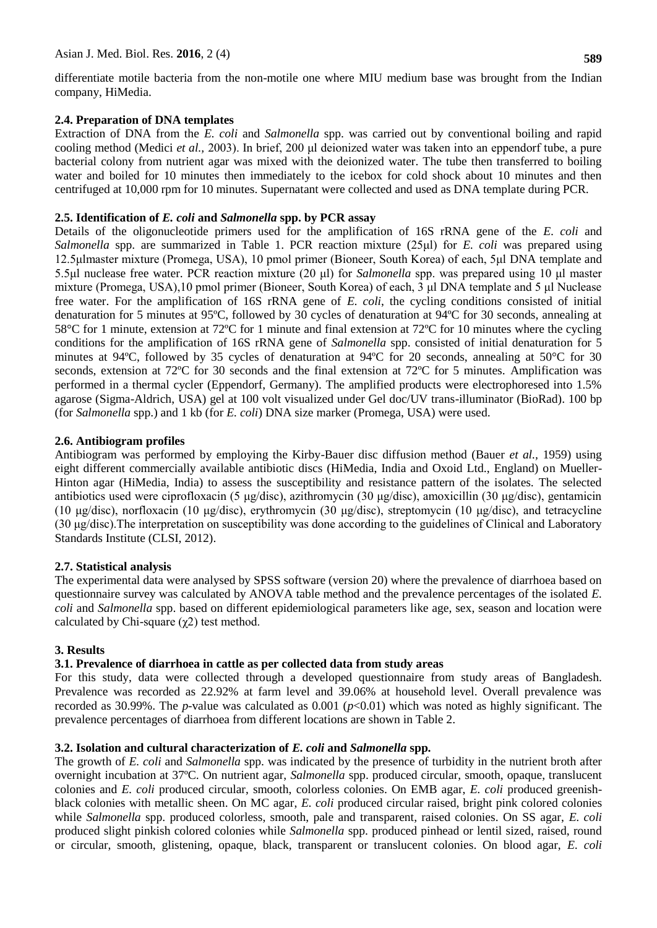differentiate motile bacteria from the non-motile one where MIU medium base was brought from the Indian company, HiMedia.

# **2.4. Preparation of DNA templates**

Extraction of DNA from the *E. coli* and *Salmonella* spp. was carried out by conventional boiling and rapid cooling method (Medici *et al.,* 2003). In brief, 200 μl deionized water was taken into an eppendorf tube, a pure bacterial colony from nutrient agar was mixed with the deionized water. The tube then transferred to boiling water and boiled for 10 minutes then immediately to the icebox for cold shock about 10 minutes and then centrifuged at 10,000 rpm for 10 minutes. Supernatant were collected and used as DNA template during PCR.

## **2.5. Identification of** *E. coli* **and** *Salmonella* **spp. by PCR assay**

Details of the oligonucleotide primers used for the amplification of 16S rRNA gene of the *E. coli* and *Salmonella* spp. are summarized in Table 1. PCR reaction mixture (25μl) for *E. coli* was prepared using 12.5μlmaster mixture (Promega, USA), 10 pmol primer (Bioneer, South Korea) of each, 5μl DNA template and 5.5μl nuclease free water. PCR reaction mixture (20 μl) for *Salmonella* spp. was prepared using 10 μl master mixture (Promega, USA),10 pmol primer (Bioneer, South Korea) of each, 3 μl DNA template and 5 μl Nuclease free water. For the amplification of 16S rRNA gene of *E. coli*, the cycling conditions consisted of initial denaturation for 5 minutes at 95ºC, followed by 30 cycles of denaturation at 94ºC for 30 seconds, annealing at 58°C for 1 minute, extension at 72ºC for 1 minute and final extension at 72ºC for 10 minutes where the cycling conditions for the amplification of 16S rRNA gene of *Salmonella* spp. consisted of initial denaturation for 5 minutes at 94ºC, followed by 35 cycles of denaturation at 94ºC for 20 seconds, annealing at 50°C for 30 seconds, extension at 72ºC for 30 seconds and the final extension at 72ºC for 5 minutes. Amplification was performed in a thermal cycler (Eppendorf, Germany). The amplified products were electrophoresed into 1.5% agarose (Sigma-Aldrich, USA) gel at 100 volt visualized under Gel doc/UV trans-illuminator (BioRad). 100 bp (for *Salmonella* spp.) and 1 kb (for *E. coli*) DNA size marker (Promega, USA) were used.

# **2.6. Antibiogram profiles**

Antibiogram was performed by employing the Kirby-Bauer disc diffusion method (Bauer *et al.,* 1959) using eight different commercially available antibiotic discs (HiMedia, India and Oxoid Ltd., England) on Mueller-Hinton agar (HiMedia, India) to assess the susceptibility and resistance pattern of the isolates. The selected antibiotics used were ciprofloxacin (5 μg/disc), azithromycin (30 μg/disc), amoxicillin (30 μg/disc), gentamicin (10 μg/disc), norfloxacin (10 μg/disc), erythromycin (30 μg/disc), streptomycin (10 μg/disc), and tetracycline (30 μg/disc).The interpretation on susceptibility was done according to the guidelines of Clinical and Laboratory Standards Institute (CLSI, 2012).

## **2.7. Statistical analysis**

The experimental data were analysed by SPSS software (version 20) where the prevalence of diarrhoea based on questionnaire survey was calculated by ANOVA table method and the prevalence percentages of the isolated *E. coli* and *Salmonella* spp. based on different epidemiological parameters like age, sex, season and location were calculated by Chi-square  $(\chi^2)$  test method.

## **3. Results**

# **3.1. Prevalence of diarrhoea in cattle as per collected data from study areas**

For this study, data were collected through a developed questionnaire from study areas of Bangladesh. Prevalence was recorded as 22.92% at farm level and 39.06% at household level. Overall prevalence was recorded as 30.99%. The *p*-value was calculated as 0.001 (*p*<0.01) which was noted as highly significant. The prevalence percentages of diarrhoea from different locations are shown in Table 2.

## **3.2. Isolation and cultural characterization of** *E. coli* **and** *Salmonella* **spp.**

The growth of *E. coli* and *Salmonella* spp. was indicated by the presence of turbidity in the nutrient broth after overnight incubation at 37ºC. On nutrient agar, *Salmonella* spp. produced circular, smooth, opaque, translucent colonies and *E. coli* produced circular, smooth, colorless colonies. On EMB agar, *E. coli* produced greenishblack colonies with metallic sheen. On MC agar, *E. coli* produced circular raised, bright pink colored colonies while *Salmonella* spp. produced colorless, smooth, pale and transparent, raised colonies. On SS agar, *E. coli* produced slight pinkish colored colonies while *Salmonella* spp. produced pinhead or lentil sized, raised, round or circular, smooth, glistening, opaque, black, transparent or translucent colonies. On blood agar, *E. coli*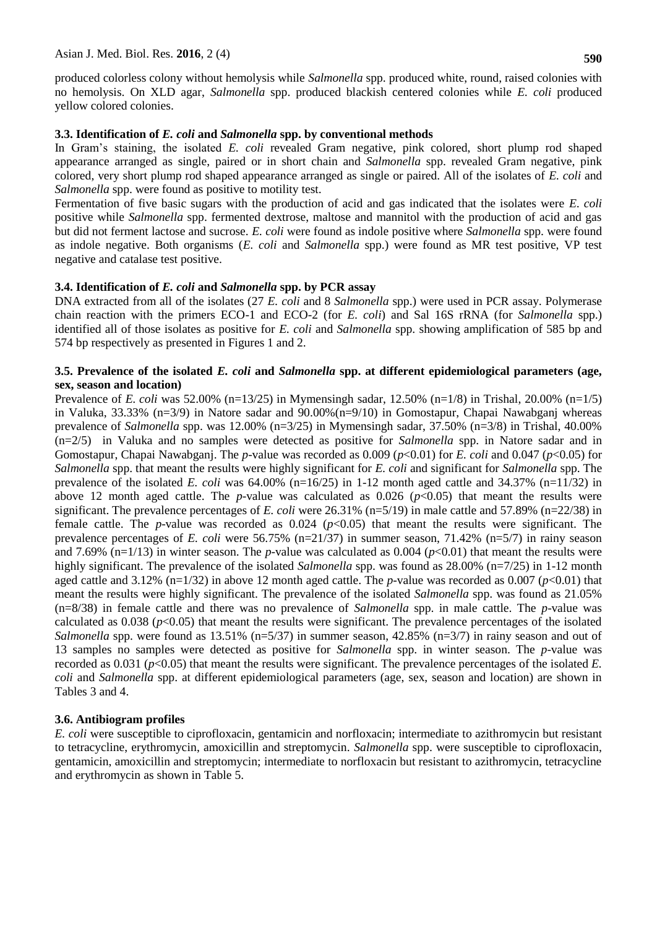produced colorless colony without hemolysis while *Salmonella* spp. produced white, round, raised colonies with no hemolysis. On XLD agar, *Salmonella* spp. produced blackish centered colonies while *E. coli* produced yellow colored colonies.

#### **3.3. Identification of** *E. coli* **and** *Salmonella* **spp. by conventional methods**

In Gram's staining, the isolated *E. coli* revealed Gram negative, pink colored, short plump rod shaped appearance arranged as single, paired or in short chain and *Salmonella* spp. revealed Gram negative, pink colored, very short plump rod shaped appearance arranged as single or paired. All of the isolates of *E. coli* and *Salmonella* spp. were found as positive to motility test.

Fermentation of five basic sugars with the production of acid and gas indicated that the isolates were *E. coli* positive while *Salmonella* spp. fermented dextrose, maltose and mannitol with the production of acid and gas but did not ferment lactose and sucrose. *E. coli* were found as indole positive where *Salmonella* spp. were found as indole negative. Both organisms (*E. coli* and *Salmonella* spp.) were found as MR test positive, VP test negative and catalase test positive.

#### **3.4. Identification of** *E. coli* **and** *Salmonella* **spp. by PCR assay**

DNA extracted from all of the isolates (27 *E. coli* and 8 *Salmonella* spp.) were used in PCR assay. Polymerase chain reaction with the primers ECO-1 and ECO-2 (for *E. coli*) and Sal 16S rRNA (for *Salmonella* spp.) identified all of those isolates as positive for *E. coli* and *Salmonella* spp. showing amplification of 585 bp and 574 bp respectively as presented in Figures 1 and 2.

#### **3.5. Prevalence of the isolated** *E. coli* **and** *Salmonella* **spp. at different epidemiological parameters (age, sex, season and location)**

Prevalence of *E. coli* was 52.00% (n=13/25) in Mymensingh sadar, 12.50% (n=1/8) in Trishal, 20.00% (n=1/5) in Valuka, 33.33% (n=3/9) in Natore sadar and 90.00%(n=9/10) in Gomostapur, Chapai Nawabganj whereas prevalence of *Salmonella* spp. was 12.00% (n=3/25) in Mymensingh sadar, 37.50% (n=3/8) in Trishal, 40.00% (n=2/5) in Valuka and no samples were detected as positive for *Salmonella* spp. in Natore sadar and in Gomostapur, Chapai Nawabganj. The *p*-value was recorded as 0.009 (*p*<0.01) for *E. coli* and 0.047 (*p*<0.05) for *Salmonella* spp. that meant the results were highly significant for *E. coli* and significant for *Salmonella* spp. The prevalence of the isolated *E. coli* was  $64.00\%$  (n=16/25) in 1-12 month aged cattle and  $34.37\%$  (n=11/32) in above 12 month aged cattle. The *p*-value was calculated as  $0.026$  ( $p<0.05$ ) that meant the results were significant. The prevalence percentages of *E. coli* were 26.31% (n=5/19) in male cattle and 57.89% (n=22/38) in female cattle. The *p*-value was recorded as 0.024 (*p*<0.05) that meant the results were significant. The prevalence percentages of *E. coli* were 56.75% (n=21/37) in summer season, 71.42% (n=5/7) in rainy season and 7.69% (n=1/13) in winter season. The *p*-value was calculated as  $0.004$  ( $p<0.01$ ) that meant the results were highly significant. The prevalence of the isolated *Salmonella* spp. was found as 28.00% (n=7/25) in 1-12 month aged cattle and 3.12% (n=1/32) in above 12 month aged cattle. The *p*-value was recorded as 0.007 (*p*<0.01) that meant the results were highly significant. The prevalence of the isolated *Salmonella* spp. was found as 21.05% (n=8/38) in female cattle and there was no prevalence of *Salmonella* spp. in male cattle. The *p*-value was calculated as  $0.038$  ( $p<0.05$ ) that meant the results were significant. The prevalence percentages of the isolated *Salmonella* spp. were found as 13.51% (n=5/37) in summer season, 42.85% (n=3/7) in rainy season and out of 13 samples no samples were detected as positive for *Salmonella* spp. in winter season. The *p*-value was recorded as 0.031 (*p*<0.05) that meant the results were significant. The prevalence percentages of the isolated *E. coli* and *Salmonella* spp. at different epidemiological parameters (age, sex, season and location) are shown in Tables 3 and 4.

#### **3.6. Antibiogram profiles**

*E. coli* were susceptible to ciprofloxacin, gentamicin and norfloxacin; intermediate to azithromycin but resistant to tetracycline, erythromycin, amoxicillin and streptomycin. *Salmonella* spp. were susceptible to ciprofloxacin, gentamicin, amoxicillin and streptomycin; intermediate to norfloxacin but resistant to azithromycin, tetracycline and erythromycin as shown in Table 5.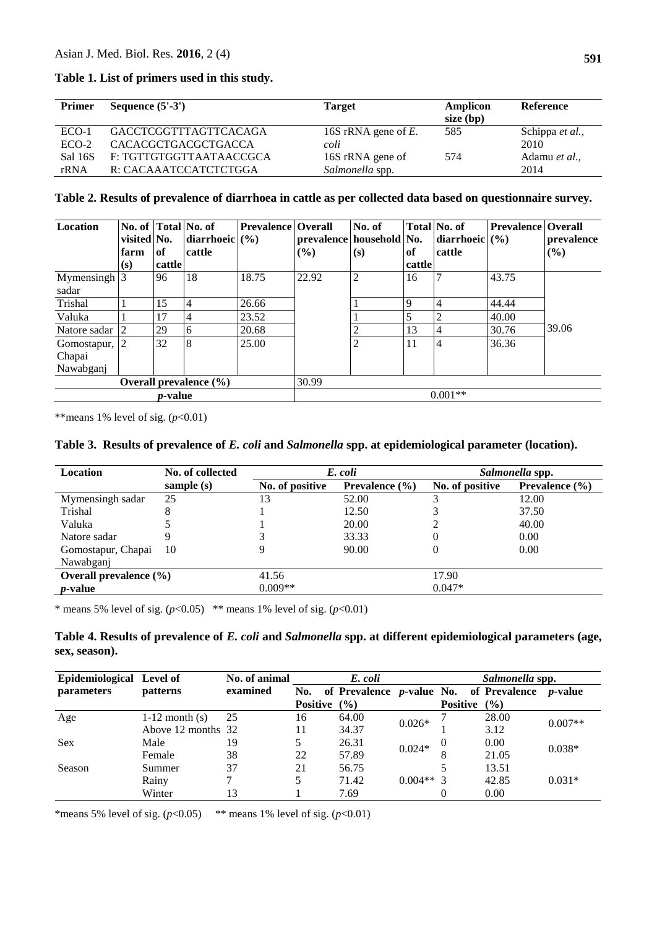## **Table 1. List of primers used in this study.**

| <b>Primer</b> | Sequence $(5'-3')$         | <b>Target</b>          | Amplicon<br>size (bp) | Reference       |
|---------------|----------------------------|------------------------|-----------------------|-----------------|
| $ECO-1$       | GACCTCGGTTTAGTTCACAGA      | 16S rRNA gene of $E$ . | 585                   | Schippa et al., |
| $ECO-2$       | <b>CACACGCTGACGCTGACCA</b> | coli                   |                       | 2010            |
| Sal 16S       | F: TGTTGTGGTTAATAACCGCA    | 16S rRNA gene of       | 574                   | Adamu et al.,   |
| rRNA          | R: CACAAATCCATCTCTGGA      | Salmonella spp.        |                       | 2014            |

#### **Table 2. Results of prevalence of diarrhoea in cattle as per collected data based on questionnaire survey.**

| <b>Location</b>                      | No. of Total No. of<br>visited No.<br>farm<br>(s) | of<br>cattle | diarrhoeic $(\% )$<br>cattle | <b>Prevalence   Overall</b> | prevalence   household   No.<br>$($ %) | No. of<br>(s)  | \, of<br>cattle | Total No. of<br>diarrhoeic $(\% )$<br>cattle | <b>Prevalence Overall</b> | prevalence<br>$($ %) |
|--------------------------------------|---------------------------------------------------|--------------|------------------------------|-----------------------------|----------------------------------------|----------------|-----------------|----------------------------------------------|---------------------------|----------------------|
| Mymensingh <sup>3</sup><br>sadar     |                                                   | 96           | 18                           | 18.75                       | 22.92                                  | 2              | 16              |                                              | 43.75                     |                      |
| Trishal                              |                                                   | 15           | $\overline{4}$               | 26.66                       |                                        |                | $\overline{9}$  | 4                                            | 44.44                     |                      |
| Valuka                               |                                                   | 17           | 4                            | 23.52                       |                                        |                | 5               | $\overline{2}$                               | 40.00                     |                      |
| Natore sadar                         | $\overline{2}$                                    | 29           | 6                            | 20.68                       |                                        |                | 13              | 4                                            | 30.76                     | 39.06                |
| Gomostapur, 2<br>Chapai<br>Nawabganj |                                                   | 32           | 8                            | 25.00                       |                                        | $\overline{2}$ | 11              | 4                                            | 36.36                     |                      |
| Overall prevalence $(\% )$           |                                                   |              |                              | 30.99                       |                                        |                |                 |                                              |                           |                      |
| <i>p</i> -value                      |                                                   |              |                              | $0.001**$                   |                                        |                |                 |                                              |                           |                      |

\*\* means 1% level of sig.  $(p<0.01)$ 

# **Table 3. Results of prevalence of** *E. coli* **and** *Salmonella* **spp. at epidemiological parameter (location).**

| Location                   | No. of collected |                 | E. coli                   | Salmonella spp. |                    |  |
|----------------------------|------------------|-----------------|---------------------------|-----------------|--------------------|--|
|                            | sample $(s)$     | No. of positive | <b>Prevalence</b> $(\% )$ | No. of positive | Prevalence $(\% )$ |  |
| Mymensingh sadar           | 25               | 13              | 52.00                     |                 | 12.00              |  |
| Trishal                    |                  |                 | 12.50                     |                 | 37.50              |  |
| Valuka                     |                  |                 | 20.00                     | 2               | 40.00              |  |
| Natore sadar               |                  |                 | 33.33                     | 0               | 0.00               |  |
| Gomostapur, Chapai         | 10               |                 | 90.00                     | 0               | 0.00               |  |
| Nawabganj                  |                  |                 |                           |                 |                    |  |
| Overall prevalence $(\% )$ |                  | 41.56           |                           | 17.90           |                    |  |
| <i>p</i> -value            |                  | $0.009**$       |                           | $0.047*$        |                    |  |

\* means 5% level of sig.  $(p<0.05)$  \*\* means 1% level of sig.  $(p<0.01)$ 

**Table 4. Results of prevalence of** *E. coli* **and** *Salmonella* **spp. at different epidemiological parameters (age, sex, season).**

| Epidemiological Level of |                    | No. of animal |                 | E. coli |            |                 | Salmonella spp.                                           |           |
|--------------------------|--------------------|---------------|-----------------|---------|------------|-----------------|-----------------------------------------------------------|-----------|
| <i>parameters</i>        | <i>patterns</i>    | examined      |                 |         |            |                 | No. of Prevalence $p$ -value No. of Prevalence $p$ -value |           |
|                          |                    |               | <b>Positive</b> | $($ %)  |            | <b>Positive</b> | $($ %)                                                    |           |
| Age                      | $1-12$ month $(s)$ | 25            | 16              | 64.00   |            |                 | 28.00                                                     | $0.007**$ |
|                          | Above 12 months 32 |               | 11              | 34.37   | $0.026*$   |                 | 3.12                                                      |           |
| <b>Sex</b>               | Male               | 19            |                 | 26.31   | $0.024*$   | $\theta$        | 0.00                                                      |           |
|                          | Female             | 38            | 22              | 57.89   |            | 8               | 21.05                                                     | $0.038*$  |
| Season                   | Summer             | 37            | 21              | 56.75   |            |                 | 13.51                                                     |           |
|                          | Rainy              |               |                 | 71.42   | $0.004**3$ |                 | 42.85                                                     | $0.031*$  |
|                          | Winter             | 13            |                 | 7.69    |            |                 | 0.00                                                      |           |

\*means 5% level of sig.  $(p<0.05)$  \*\* means 1% level of sig.  $(p<0.01)$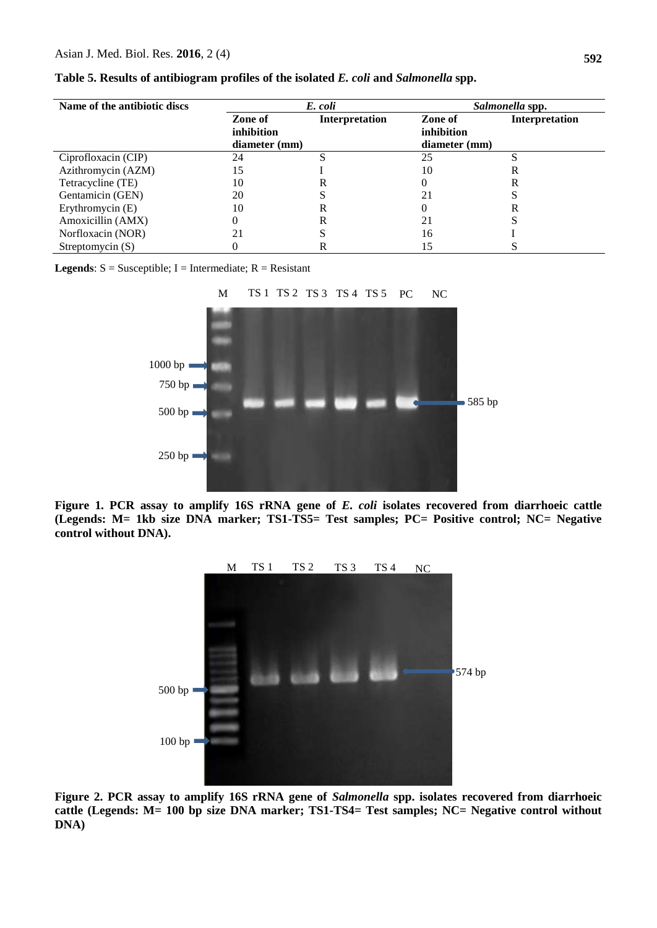| Name of the antibiotic discs |               | E. coli        | Salmonella spp. |                       |  |
|------------------------------|---------------|----------------|-----------------|-----------------------|--|
|                              | Zone of       | Interpretation | Zone of         | <b>Interpretation</b> |  |
|                              | inhibition    |                | inhibition      |                       |  |
|                              | diameter (mm) |                | diameter (mm)   |                       |  |
| Ciprofloxacin (CIP)          | 24            | S              | 25              |                       |  |
| Azithromycin (AZM)           | 15            |                | 10              | R                     |  |
| Tetracycline (TE)            | 10            | R              |                 | R                     |  |
| Gentamicin (GEN)             | 20            |                | 21              |                       |  |
| Erythromycin (E)             | 10            | R              |                 | R                     |  |
| Amoxicillin (AMX)            | $_{0}$        | R              | 21              |                       |  |
| Norfloxacin (NOR)            |               |                | 16              |                       |  |
| Streptomycin $(S)$           |               | R              |                 |                       |  |

|  | Table 5. Results of antibiogram profiles of the isolated E. coli and Salmonella spp. |  |  |  |
|--|--------------------------------------------------------------------------------------|--|--|--|
|  |                                                                                      |  |  |  |

**Legends**:  $S =$  Susceptible;  $I =$  Intermediate;  $R =$  Resistant



**Figure 1. PCR assay to amplify 16S rRNA gene of** *E. coli* **isolates recovered from diarrhoeic cattle (Legends: M= 1kb size DNA marker; TS1-TS5= Test samples; PC= Positive control; NC= Negative control without DNA).** 



**Figure 2. PCR assay to amplify 16S rRNA gene of** *Salmonella* **spp. isolates recovered from diarrhoeic cattle (Legends: M= 100 bp size DNA marker; TS1-TS4= Test samples; NC= Negative control without DNA)**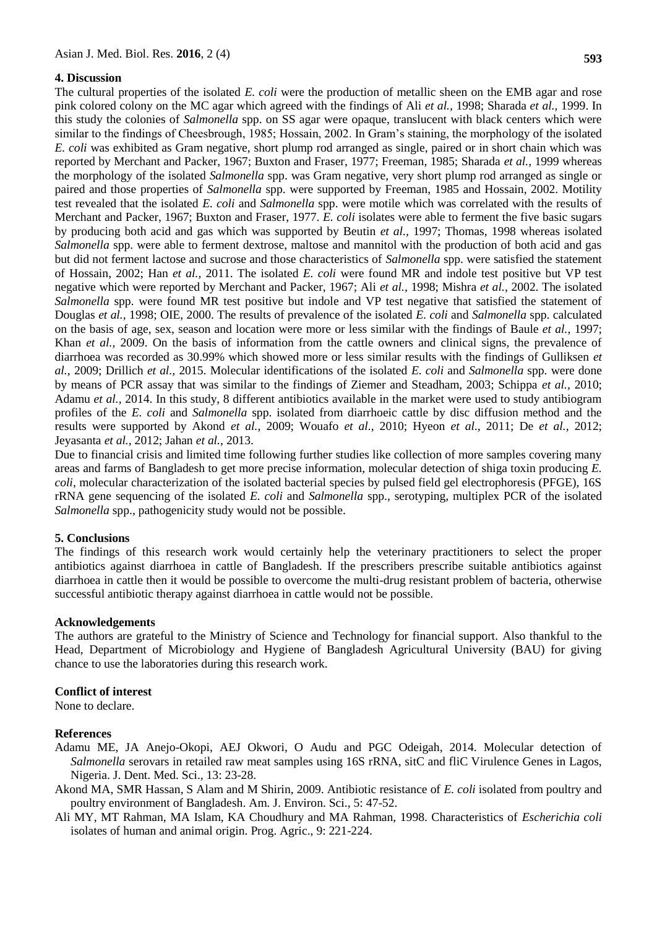#### **4. Discussion**

**593**

The cultural properties of the isolated *E. coli* were the production of metallic sheen on the EMB agar and rose pink colored colony on the MC agar which agreed with the findings of Ali *et al.,* 1998; Sharada *et al.,* 1999. In this study the colonies of *Salmonella* spp. on SS agar were opaque, translucent with black centers which were similar to the findings of Cheesbrough, 1985; Hossain, 2002. In Gram's staining, the morphology of the isolated *E. coli* was exhibited as Gram negative, short plump rod arranged as single, paired or in short chain which was reported by Merchant and Packer, 1967; Buxton and Fraser, 1977; Freeman, 1985; Sharada *et al.,* 1999 whereas the morphology of the isolated *Salmonella* spp. was Gram negative, very short plump rod arranged as single or paired and those properties of *Salmonella* spp. were supported by Freeman, 1985 and Hossain, 2002. Motility test revealed that the isolated *E. coli* and *Salmonella* spp. were motile which was correlated with the results of Merchant and Packer, 1967; Buxton and Fraser, 1977. *E. coli* isolates were able to ferment the five basic sugars by producing both acid and gas which was supported by Beutin *et al.,* 1997; Thomas, 1998 whereas isolated *Salmonella* spp. were able to ferment dextrose, maltose and mannitol with the production of both acid and gas but did not ferment lactose and sucrose and those characteristics of *Salmonella* spp. were satisfied the statement of Hossain, 2002; Han *et al.,* 2011. The isolated *E. coli* were found MR and indole test positive but VP test negative which were reported by Merchant and Packer, 1967; Ali *et al.,* 1998; Mishra *et al.,* 2002. The isolated *Salmonella* spp. were found MR test positive but indole and VP test negative that satisfied the statement of Douglas *et al.,* 1998; OIE, 2000. The results of prevalence of the isolated *E. coli* and *Salmonella* spp. calculated on the basis of age, sex, season and location were more or less similar with the findings of Baule *et al.,* 1997; Khan *et al.,* 2009. On the basis of information from the cattle owners and clinical signs, the prevalence of diarrhoea was recorded as 30.99% which showed more or less similar results with the findings of Gulliksen *et al.,* 2009; Drillich *et al.,* 2015. Molecular identifications of the isolated *E. coli* and *Salmonella* spp. were done by means of PCR assay that was similar to the findings of Ziemer and Steadham, 2003; Schippa *et al.,* 2010; Adamu *et al.,* 2014. In this study, 8 different antibiotics available in the market were used to study antibiogram profiles of the *E. coli* and *Salmonella* spp. isolated from diarrhoeic cattle by disc diffusion method and the results were supported by Akond *et al.,* 2009; Wouafo *et al.,* 2010; Hyeon *et al.,* 2011; De *et al.,* 2012; Jeyasanta *et al.,* 2012; Jahan *et al.,* 2013.

Due to financial crisis and limited time following further studies like collection of more samples covering many areas and farms of Bangladesh to get more precise information, molecular detection of shiga toxin producing *E. coli*, molecular characterization of the isolated bacterial species by pulsed field gel electrophoresis (PFGE), 16S rRNA gene sequencing of the isolated *E. coli* and *Salmonella* spp., serotyping, multiplex PCR of the isolated *Salmonella* spp., pathogenicity study would not be possible.

#### **5. Conclusions**

The findings of this research work would certainly help the veterinary practitioners to select the proper antibiotics against diarrhoea in cattle of Bangladesh. If the prescribers prescribe suitable antibiotics against diarrhoea in cattle then it would be possible to overcome the multi-drug resistant problem of bacteria, otherwise successful antibiotic therapy against diarrhoea in cattle would not be possible.

#### **Acknowledgements**

The authors are grateful to the Ministry of Science and Technology for financial support. Also thankful to the Head, Department of Microbiology and Hygiene of Bangladesh Agricultural University (BAU) for giving chance to use the laboratories during this research work.

#### **Conflict of interest**

None to declare.

#### **References**

- Adamu ME, JA Anejo-Okopi, AEJ Okwori, O Audu and PGC Odeigah, 2014. Molecular detection of *Salmonella* serovars in retailed raw meat samples using 16S rRNA, sitC and fliC Virulence Genes in Lagos, Nigeria. J. Dent. Med. Sci., 13: 23-28.
- Akond MA, SMR Hassan, S Alam and M Shirin, 2009. Antibiotic resistance of *E. coli* isolated from poultry and poultry environment of Bangladesh. Am. J. Environ. Sci., 5: 47-52.
- Ali MY, MT Rahman, MA Islam, KA Choudhury and MA Rahman, 1998. Characteristics of *Escherichia coli* isolates of human and animal origin. Prog. Agric., 9: 221-224.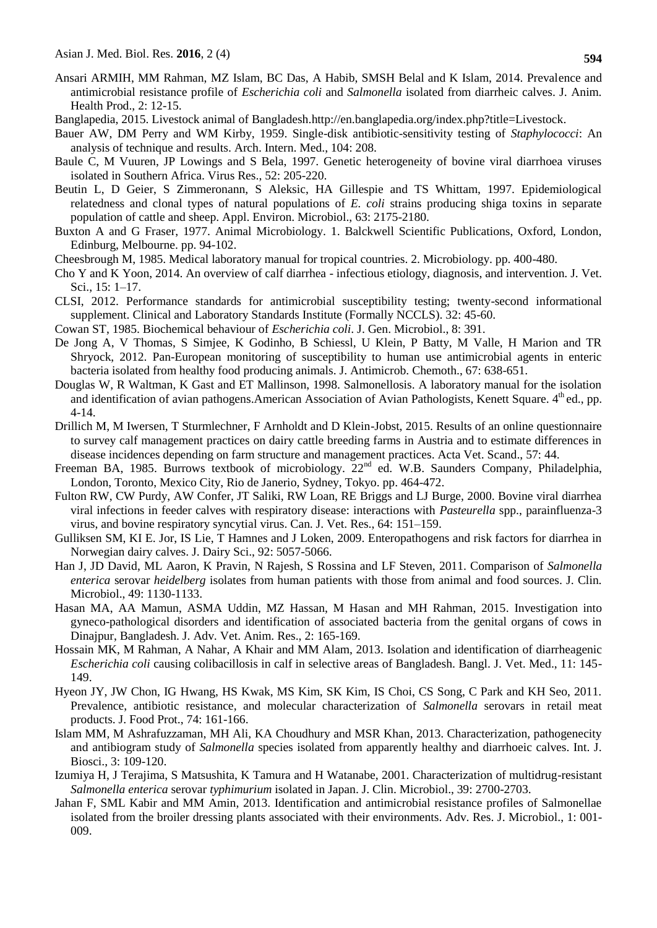- Ansari ARMIH, MM Rahman, MZ Islam, BC Das, A Habib, SMSH Belal and K Islam, 2014. Prevalence and antimicrobial resistance profile of *Escherichia coli* and *Salmonella* isolated from diarrheic calves. J. Anim. Health Prod., 2: 12-15.
- Banglapedia, 2015. Livestock animal of Bangladesh[.http://en.banglapedia.org/index.php?title=Livestock.](http://en.banglapedia.org/index.php?title=Livestock)
- Bauer AW, DM Perry and WM Kirby, 1959. Single-disk antibiotic-sensitivity testing of *Staphylococci*: An analysis of technique and results. Arch. Intern. Med., 104: 208.
- Baule C, M Vuuren, JP Lowings and S Bela, 1997. Genetic heterogeneity of bovine viral diarrhoea viruses isolated in Southern Africa. Virus Res., 52: 205-220.
- Beutin L, D Geier, S Zimmeronann, S Aleksic, HA Gillespie and TS Whittam, 1997. Epidemiological relatedness and clonal types of natural populations of *E. coli* strains producing shiga toxins in separate population of cattle and sheep. Appl. Environ. Microbiol., 63: 2175-2180.
- Buxton A and G Fraser, 1977. Animal Microbiology. 1. Balckwell Scientific Publications, Oxford, London, Edinburg, Melbourne. pp. 94-102.
- Cheesbrough M, 1985. Medical laboratory manual for tropical countries. 2. Microbiology. pp. 400-480.
- Cho Y and K Yoon, 2014. An overview of calf diarrhea infectious etiology, diagnosis, and intervention. J. Vet. Sci., 15: 1–17.
- CLSI, 2012. Performance standards for antimicrobial susceptibility testing; twenty-second informational supplement. Clinical and Laboratory Standards Institute (Formally NCCLS). 32: 45-60.
- Cowan ST, 1985. Biochemical behaviour of *Escherichia coli*. J. Gen. Microbiol., 8: 391.
- De Jong A, V Thomas, S Simjee, K Godinho, B Schiessl, U Klein, P Batty, M Valle, H Marion and TR Shryock, 2012. Pan-European monitoring of susceptibility to human use antimicrobial agents in enteric bacteria isolated from healthy food producing animals. J. Antimicrob. Chemoth., 67: 638-651.
- Douglas W, R Waltman, K Gast and ET Mallinson, 1998. Salmonellosis. A laboratory manual for the isolation and identification of avian pathogens. American Association of Avian Pathologists, Kenett Square. 4<sup>th</sup> ed., pp. 4-14.
- Drillich M, M Iwersen, T Sturmlechner, F Arnholdt and D Klein-Jobst, 2015. Results of an online questionnaire to survey calf management practices on dairy cattle breeding farms in Austria and to estimate differences in disease incidences depending on farm structure and management practices. Acta Vet. Scand., 57: 44.
- Freeman BA, 1985. Burrows textbook of microbiology. 22<sup>nd</sup> ed. W.B. Saunders Company, Philadelphia, London, Toronto, Mexico City, Rio de Janerio, Sydney, Tokyo. pp. 464-472.
- Fulton RW, CW Purdy, AW Confer, JT Saliki, RW Loan, RE Briggs and LJ Burge, 2000. Bovine viral diarrhea viral infections in feeder calves with respiratory disease: interactions with *Pasteurella* spp., parainfluenza-3 virus, and bovine respiratory syncytial virus. Can. J. Vet. Res., 64: 151–159.
- Gulliksen SM, KI E. Jor, IS Lie, T Hamnes and J Loken, 2009. Enteropathogens and risk factors for diarrhea in Norwegian dairy calves. J. Dairy Sci., 92: 5057-5066.
- Han J, JD David, ML Aaron, K Pravin, N Rajesh, S Rossina and LF Steven, 2011. Comparison of *Salmonella enterica* serovar *heidelberg* isolates from human patients with those from animal and food sources. J. Clin. Microbiol., 49: 1130-1133.
- Hasan MA, AA Mamun, ASMA Uddin, MZ Hassan, M Hasan and MH Rahman, 2015. Investigation into gyneco-pathological disorders and identification of associated bacteria from the genital organs of cows in Dinajpur, Bangladesh. J. Adv. Vet. Anim. Res., 2: 165-169.
- Hossain MK, M Rahman, A Nahar, A Khair and MM Alam, 2013. Isolation and identification of diarrheagenic *Escherichia coli* causing colibacillosis in calf in selective areas of Bangladesh. Bangl. J. Vet. Med., 11: 145- 149.
- Hyeon JY, JW Chon, IG Hwang, HS Kwak, MS Kim, SK Kim, IS Choi, CS Song, C Park and KH Seo, 2011. Prevalence, antibiotic resistance, and molecular characterization of *Salmonella* serovars in retail meat products. J. Food Prot., 74: 161-166.
- Islam MM, M Ashrafuzzaman, MH Ali, KA Choudhury and MSR Khan, 2013. Characterization, pathogenecity and antibiogram study of *Salmonella* species isolated from apparently healthy and diarrhoeic calves. Int. J. Biosci., 3: 109-120.
- Izumiya H, J Terajima, S Matsushita, K Tamura and H Watanabe, 2001. Characterization of multidrug-resistant *Salmonella enterica* serovar *typhimurium* isolated in Japan. J. Clin. Microbiol., 39: 2700-2703.
- Jahan F, SML Kabir and MM Amin, 2013. Identification and antimicrobial resistance profiles of Salmonellae isolated from the broiler dressing plants associated with their environments. Adv. Res. J. Microbiol., 1: 001- 009.